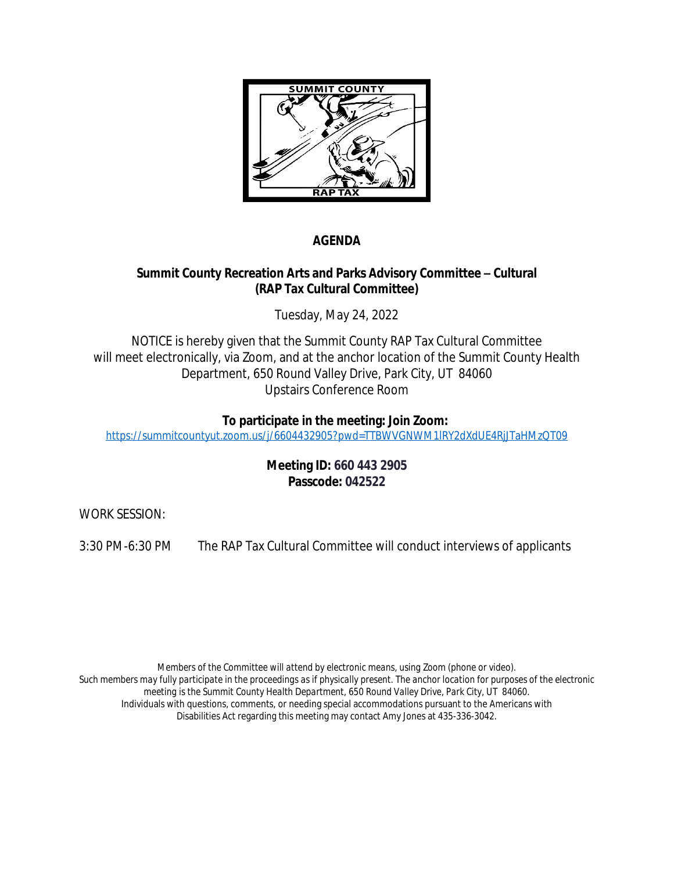

# **AGENDA**

# **Summit County Recreation Arts and Parks Advisory Committee – Cultural (RAP Tax Cultural Committee)**

Tuesday, May 24, 2022

NOTICE is hereby given that the Summit County RAP Tax Cultural Committee will meet electronically, via Zoom, and at the anchor location of the Summit County Health Department, 650 Round Valley Drive, Park City, UT 84060 Upstairs Conference Room

### **To participate in the meeting: Join Zoom:**

<https://summitcountyut.zoom.us/j/6604432905?pwd=TTBWVGNWM1lRY2dXdUE4RjJTaHMzQT09>

**Meeting ID: 660 443 2905 Passcode: 042522**

WORK SESSION:

3:30 PM-6:30 PM The RAP Tax Cultural Committee will conduct interviews of applicants

*Members of the Committee will attend by electronic means, using Zoom (phone or video). Such members may fully participate in the proceedings as if physically present. The anchor location for purposes of the electronic meeting is the Summit County Health Department, 650 Round Valley Drive, Park City, UT 84060.* Individuals with questions, comments, or needing special accommodations pursuant to the Americans with Disabilities Act regarding this meeting may contact Amy Jones at 435-336-3042.